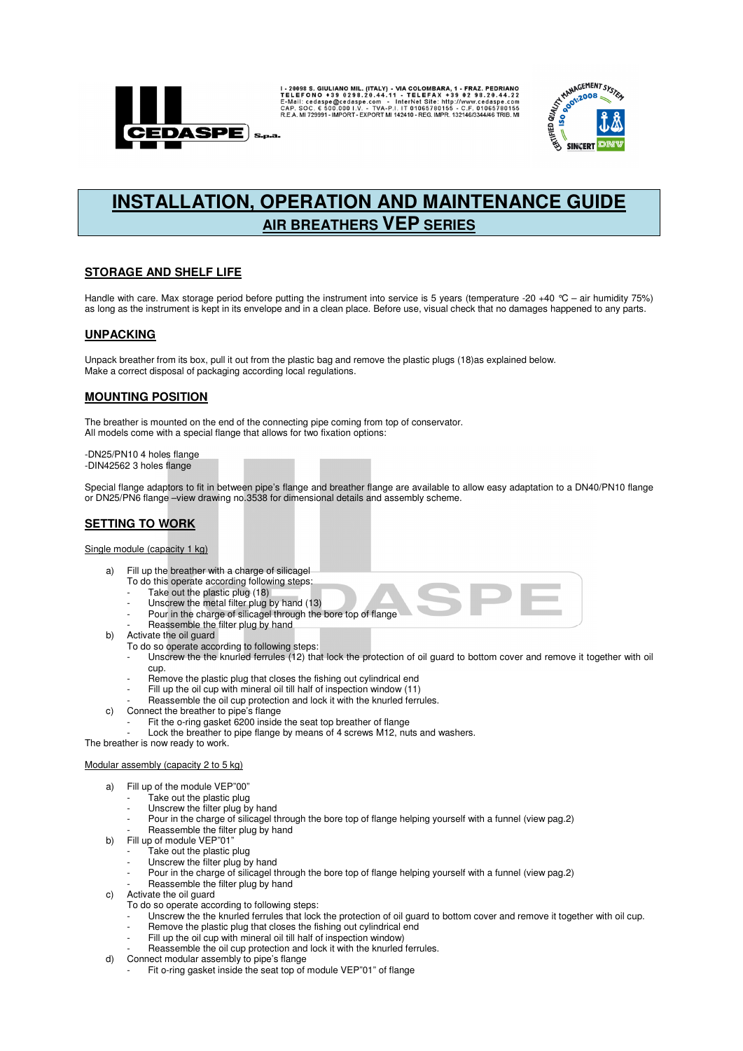

I-20098 S. GIULIANO MIL. (ITALY) - VIA COLOMBARA, 1 - FRAZ. PEDRIANO E-INGI I- SO 0298.20.44.22<br>TELEFONO + 39 0298.20.44.11 - TELEFAX + 39 02 98.20.44.22<br>E-Mail: cedaspe@cedaspe.com - InterNet Site: http://www.cedaspe.com<br>



# **INSTALLATION, OPERATION AND MAINTENANCE GUIDE AIR BREATHERS VEP SERIES**

# **STORAGE AND SHELF LIFE**

Handle with care. Max storage period before putting the instrument into service is 5 years (temperature -20 +40 °C – air humidity 75%) as long as the instrument is kept in its envelope and in a clean place. Before use, visual check that no damages happened to any parts.

# **UNPACKING**

Unpack breather from its box, pull it out from the plastic bag and remove the plastic plugs (18)as explained below. Make a correct disposal of packaging according local regulations.

## **MOUNTING POSITION**

The breather is mounted on the end of the connecting pipe coming from top of conservator. All models come with a special flange that allows for two fixation options:

-DN25/PN10 4 holes flange -DIN42562 3 holes flange

Special flange adaptors to fit in between pipe's flange and breather flange are available to allow easy adaptation to a DN40/PN10 flange or DN25/PN6 flange –view drawing no.3538 for dimensional details and assembly scheme.

# **SETTING TO WORK**

#### Single module (capacity 1 kg)

- a) Fill up the breather with a charge of silicagel
	- To do this operate according following steps:
	- Take out the plastic plug (18)
	- Unscrew the metal filter plug by hand (13) Pour in the charge of silicagel through the bore top of flange
	- Reassemble the filter plug by hand
- b) Activate the oil guard
	- To do so operate according to following steps:
		- Unscrew the the knurled ferrules (12) that lock the protection of oil guard to bottom cover and remove it together with oil cup.
		- Remove the plastic plug that closes the fishing out cylindrical end
	- Fill up the oil cup with mineral oil till half of inspection window (11)
- Reassemble the oil cup protection and lock it with the knurled ferrules.
- c) Connect the breather to pipe's flange
	- Fit the o-ring gasket 6200 inside the seat top breather of flange
	- Lock the breather to pipe flange by means of 4 screws M12, nuts and washers.

The breather is now ready to work.

#### Modular assembly (capacity 2 to 5 kg)

- a) Fill up of the module VEP"00"
	- Take out the plastic plug
	- Unscrew the filter plug by hand
	- Pour in the charge of silicagel through the bore top of flange helping yourself with a funnel (view pag.2)
- Reassemble the filter plug by hand
- b) Fill up of module VEP"01"
	- Take out the plastic plug Unscrew the filter plug by hand
	- Pour in the charge of silicagel through the bore top of flange helping yourself with a funnel (view pag.2)
	- Reassemble the filter plug by hand
- c) Activate the oil guard
	- To do so operate according to following steps:
	- Unscrew the the knurled ferrules that lock the protection of oil guard to bottom cover and remove it together with oil cup.
	- Remove the plastic plug that closes the fishing out cylindrical end
	- Fill up the oil cup with mineral oil till half of inspection window) Reassemble the oil cup protection and lock it with the knurled ferrules.
- d) Connect modular assembly to pipe's flange
- Fit o-ring gasket inside the seat top of module VEP"01" of flange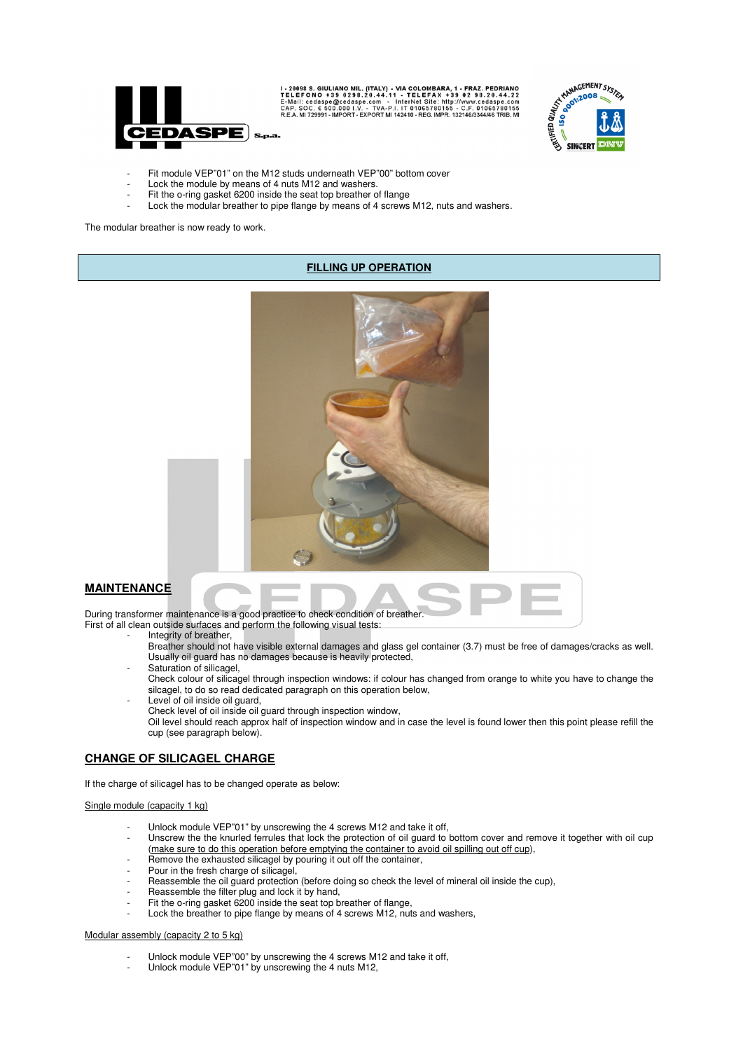

I - 20098 S. GIULIANO MIL. (ITALY) - VIA COLOMBARA, 1 - FRAZ. PEDRIANO<br>TELEFONO +39 0298.20.44.11 - TELEFAX +39 02 98.20.44.22<br>E-Mail: cedaspe@cedaspe.com - InterNet Site: http://www.cedaspe.com<br>CAP. SOC. € 500.000 I.V. -



- Fit module VEP"01" on the M12 studs underneath VEP"00" bottom cover
- Lock the module by means of 4 nuts M12 and washers.
- Fit the o-ring gasket 6200 inside the seat top breather of flange
- Lock the modular breather to pipe flange by means of 4 screws M12, nuts and washers.

The modular breather is now ready to work.

## **FILLING UP OPERATION**



## **MAINTENANCE**

During transformer maintenance is a good practice to check condition of breather. First of all clean outside surfaces and perform the following visual tests:

- Integrity of breather,
- Breather should not have visible external damages and glass gel container (3.7) must be free of damages/cracks as well. Usually oil guard has no damages because is heavily protected,
- Saturation of silicagel,
- Check colour of silicagel through inspection windows: if colour has changed from orange to white you have to change the silcagel, to do so read dedicated paragraph on this operation below,
- Level of oil inside oil guard, Check level of oil inside oil guard through inspection window, Oil level should reach approx half of inspection window and in case the level is found lower then this point please refill the cup (see paragraph below).

## **CHANGE OF SILICAGEL CHARGE**

If the charge of silicagel has to be changed operate as below:

#### Single module (capacity 1 kg)

- Unlock module VEP"01" by unscrewing the 4 screws M12 and take it off,
- Unscrew the the knurled ferrules that lock the protection of oil guard to bottom cover and remove it together with oil cup (make sure to do this operation before emptying the container to avoid oil spilling out off cup),
- Remove the exhausted silicagel by pouring it out off the container,
- Pour in the fresh charge of silicagel,
- Reassemble the oil guard protection (before doing so check the level of mineral oil inside the cup),
- Reassemble the filter plug and lock it by hand,
- Fit the o-ring gasket 6200 inside the seat top breather of flange,
- Lock the breather to pipe flange by means of 4 screws M12, nuts and washers,

#### Modular assembly (capacity 2 to 5 kg)

- Unlock module VEP"00" by unscrewing the 4 screws M12 and take it off,
- Unlock module VEP"01" by unscrewing the 4 nuts M12,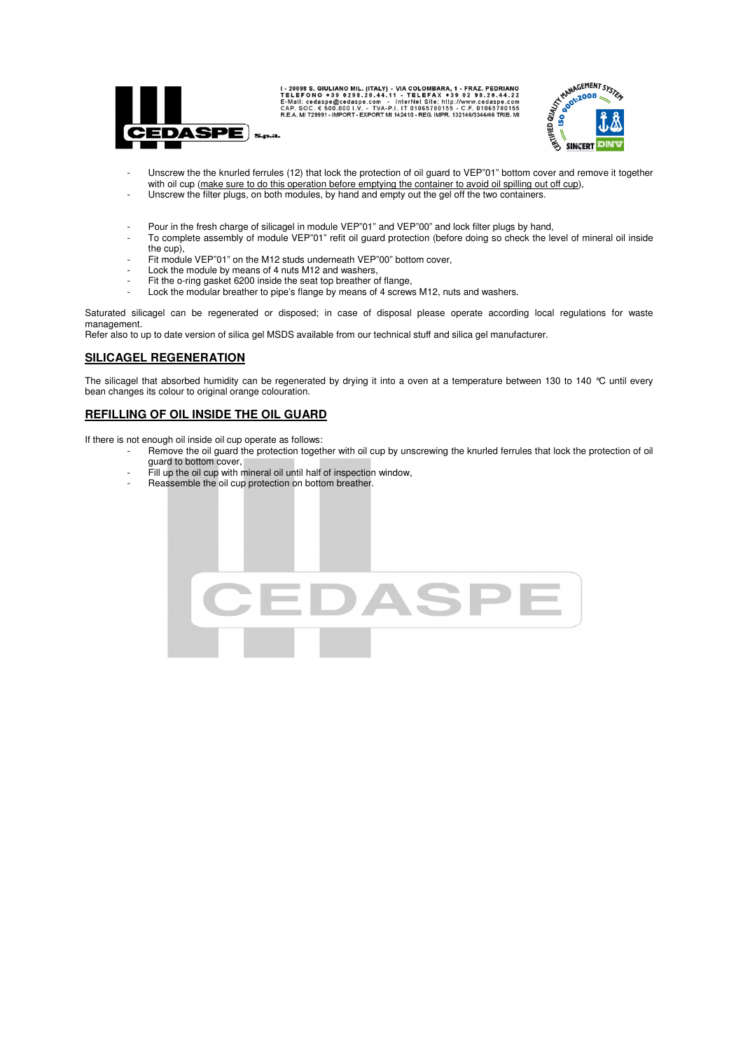

I-20098 S. GIULIANO MIL. (ITALY) - VIA COLOMBARA, 1 - FRAZ. PEDRIANO E-ME IL FONO + 39 0 29 8.20.44.12<br>TELEFONO + 39 0 29 8.20.44.11 - TELEFAX + 39 0 2 9 8.20.44.22<br>E-Mail: cedaspe@cedaspe.com - InterNet Sile: http://www.c



- Unscrew the the knurled ferrules (12) that lock the protection of oil guard to VEP"01" bottom cover and remove it together with oil cup (make sure to do this operation before emptying the container to avoid oil spilling out off cup), Unscrew the filter plugs, on both modules, by hand and empty out the gel off the two containers.
- 
- Pour in the fresh charge of silicagel in module VEP"01" and VEP"00" and lock filter plugs by hand,
- To complete assembly of module VEP"01" refit oil guard protection (before doing so check the level of mineral oil inside the cup),
- Fit module VEP"01" on the M12 studs underneath VEP"00" bottom cover,
- Lock the module by means of 4 nuts M12 and washers,
- Fit the o-ring gasket 6200 inside the seat top breather of flange,
- Lock the modular breather to pipe's flange by means of 4 screws M12, nuts and washers.

Saturated silicagel can be regenerated or disposed; in case of disposal please operate according local regulations for waste management.

Refer also to up to date version of silica gel MSDS available from our technical stuff and silica gel manufacturer.

## **SILICAGEL REGENERATION**

The silicagel that absorbed humidity can be regenerated by drying it into a oven at a temperature between 130 to 140  $^{\circ}$ C until every bean changes its colour to original orange colouration.

## **REFILLING OF OIL INSIDE THE OIL GUARD**

If there is not enough oil inside oil cup operate as follows:

- Remove the oil guard the protection together with oil cup by unscrewing the knurled ferrules that lock the protection of oil guard to bottom cover,
	- Fill up the oil cup with mineral oil until half of inspection window,
	- Reassemble the oil cup protection on bottom breather.

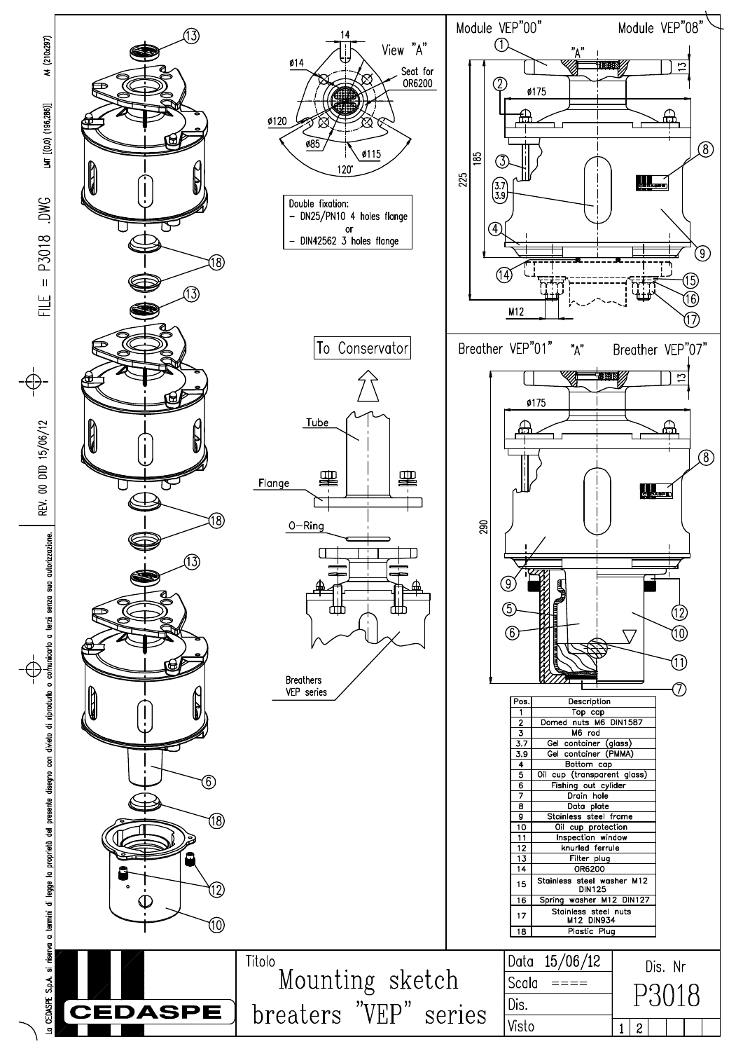